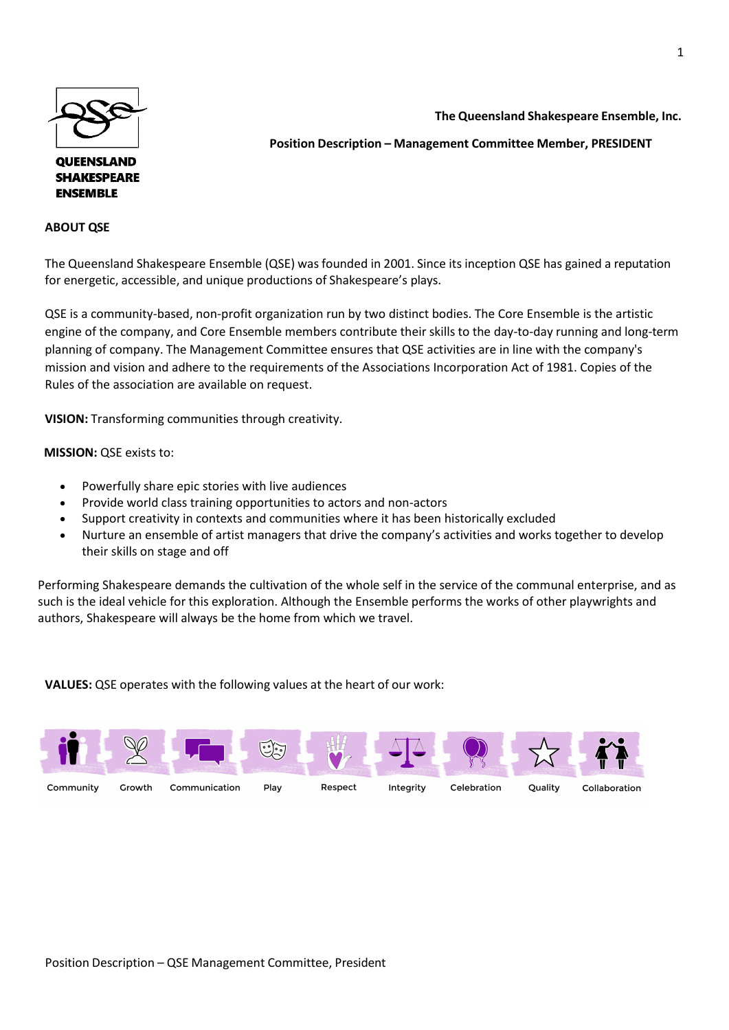

## **QUEENSLAND SHAKESPEARE ENSEMBLE**

## **ABOUT QSE**

**The Queensland Shakespeare Ensemble, Inc.** 

# **Position Description – Management Committee Member, PRESIDENT**

The Queensland Shakespeare Ensemble (QSE) was founded in 2001. Since its inception QSE has gained a reputation for energetic, accessible, and unique productions of Shakespeare's plays.

QSE is a community-based, non-profit organization run by two distinct bodies. The Core Ensemble is the artistic engine of the company, and Core Ensemble members contribute their skills to the day-to-day running and long-term planning of company. The Management Committee ensures that QSE activities are in line with the company's mission and vision and adhere to the requirements of the Associations Incorporation Act of 1981. Copies of the Rules of the association are available on request.

**VISION:** Transforming communities through creativity.

 **MISSION:** QSE exists to:

- Powerfully share epic stories with live audiences
- Provide world class training opportunities to actors and non-actors
- Support creativity in contexts and communities where it has been historically excluded
- Nurture an ensemble of artist managers that drive the company's activities and works together to develop their skills on stage and off

Performing Shakespeare demands the cultivation of the whole self in the service of the communal enterprise, and as such is the ideal vehicle for this exploration. Although the Ensemble performs the works of other playwrights and authors, Shakespeare will always be the home from which we travel.

**VALUES:** QSE operates with the following values at the heart of our work: